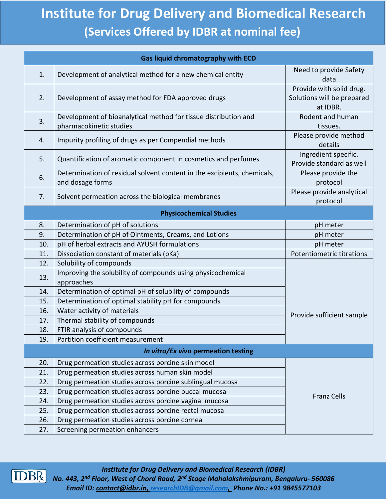## **Institute for Drug Delivery and Biomedical Research (Services Offered by IDBR at nominal fee)**

| Gas liquid chromatography with ECD  |                                                                                             |                                                                    |  |  |
|-------------------------------------|---------------------------------------------------------------------------------------------|--------------------------------------------------------------------|--|--|
| 1.                                  | Development of analytical method for a new chemical entity                                  | Need to provide Safety<br>data                                     |  |  |
| 2.                                  | Development of assay method for FDA approved drugs                                          | Provide with solid drug.<br>Solutions will be prepared<br>at IDBR. |  |  |
| 3.                                  | Development of bioanalytical method for tissue distribution and<br>pharmacokinetic studies  | Rodent and human<br>tissues.                                       |  |  |
| 4.                                  | Impurity profiling of drugs as per Compendial methods                                       | Please provide method<br>details                                   |  |  |
| 5.                                  | Quantification of aromatic component in cosmetics and perfumes                              | Ingredient specific.<br>Provide standard as well                   |  |  |
| 6.                                  | Determination of residual solvent content in the excipients, chemicals,<br>and dosage forms | Please provide the<br>protocol                                     |  |  |
| 7.                                  | Solvent permeation across the biological membranes                                          | Please provide analytical<br>protocol                              |  |  |
|                                     | <b>Physicochemical Studies</b>                                                              |                                                                    |  |  |
| 8.                                  | Determination of pH of solutions                                                            | pH meter                                                           |  |  |
| 9.                                  | Determination of pH of Ointments, Creams, and Lotions                                       | pH meter                                                           |  |  |
| 10.                                 | pH of herbal extracts and AYUSH formulations                                                | pH meter                                                           |  |  |
| 11.                                 | Dissociation constant of materials (pKa)                                                    | <b>Potentiometric titrations</b>                                   |  |  |
| 12.                                 | Solubility of compounds                                                                     |                                                                    |  |  |
| 13.                                 | Improving the solubility of compounds using physicochemical<br>approaches                   |                                                                    |  |  |
| 14.                                 | Determination of optimal pH of solubility of compounds                                      |                                                                    |  |  |
| 15.                                 | Determination of optimal stability pH for compounds                                         |                                                                    |  |  |
| 16.                                 | Water activity of materials                                                                 | Provide sufficient sample                                          |  |  |
| 17.                                 | Thermal stability of compounds                                                              |                                                                    |  |  |
| 18.                                 | FTIR analysis of compounds                                                                  |                                                                    |  |  |
| 19.                                 | Partition coefficient measurement                                                           |                                                                    |  |  |
| In vitro/Ex vivo permeation testing |                                                                                             |                                                                    |  |  |
| 20.                                 | Drug permeation studies across porcine skin model                                           |                                                                    |  |  |
| 21.                                 | Drug permeation studies across human skin model                                             |                                                                    |  |  |
| 22.                                 | Drug permeation studies across porcine sublingual mucosa                                    |                                                                    |  |  |
| 23.                                 | Drug permeation studies across porcine buccal mucosa                                        | <b>Franz Cells</b>                                                 |  |  |
| 24.                                 | Drug permeation studies across porcine vaginal mucosa                                       |                                                                    |  |  |
| 25.                                 | Drug permeation studies across porcine rectal mucosa                                        |                                                                    |  |  |
| 26.                                 | Drug permeation studies across porcine cornea                                               |                                                                    |  |  |
| 27.                                 | Screening permeation enhancers                                                              |                                                                    |  |  |



*Institute for Drug Delivery and Biomedical Research (IDBR) No. 443, 2nd Floor, West of Chord Road, 2nd Stage Mahalakshmipuram, Bengaluru- 560086 Email ID: [contact@idbr.in,](mailto:contact@idbr.in) [researchIDB@gmail.com,](mailto:researchIDB@gmail.com) Phone No.: +91 9845577103*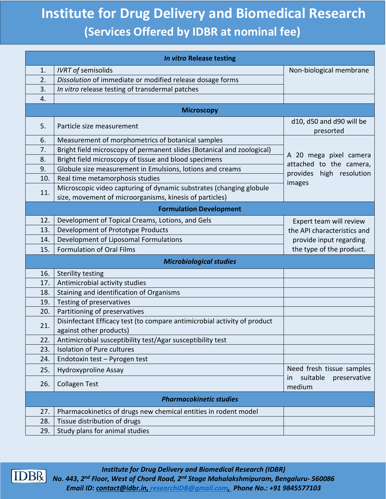## **Institute for Drug Delivery and Biomedical Research (Services Offered by IDBR at nominal fee)**

| <b>In vitro Release testing</b> |                                                                                                                                |                                                                       |  |  |
|---------------------------------|--------------------------------------------------------------------------------------------------------------------------------|-----------------------------------------------------------------------|--|--|
| 1.                              | <b>IVRT</b> of semisolids                                                                                                      | Non-biological membrane                                               |  |  |
| 2.                              | Dissolution of immediate or modified release dosage forms                                                                      |                                                                       |  |  |
| 3.                              | In vitro release testing of transdermal patches                                                                                |                                                                       |  |  |
| 4.                              |                                                                                                                                |                                                                       |  |  |
| <b>Microscopy</b>               |                                                                                                                                |                                                                       |  |  |
| 5.                              | Particle size measurement                                                                                                      | d10, d50 and d90 will be<br>presorted                                 |  |  |
| 6.                              | Measurement of morphometrics of botanical samples                                                                              |                                                                       |  |  |
| 7.                              | Bright field microscopy of permanent slides (Botanical and zoological)                                                         |                                                                       |  |  |
| 8.                              | Bright field microscopy of tissue and blood specimens                                                                          | A 20 mega pixel camera                                                |  |  |
| 9.                              | Globule size measurement in Emulsions, lotions and creams                                                                      | attached to the camera,<br>provides high resolution                   |  |  |
| 10.                             | Real time metamorphosis studies                                                                                                | images                                                                |  |  |
| 11.                             | Microscopic video capturing of dynamic substrates (changing globule<br>size, movement of microorganisms, kinesis of particles) |                                                                       |  |  |
|                                 | <b>Formulation Development</b>                                                                                                 |                                                                       |  |  |
| 12.                             | Development of Topical Creams, Lotions, and Gels                                                                               | Expert team will review                                               |  |  |
| 13.                             | Development of Prototype Products                                                                                              | the API characteristics and                                           |  |  |
| 14.                             | Development of Liposomal Formulations                                                                                          | provide input regarding                                               |  |  |
| 15.                             | <b>Formulation of Oral Films</b>                                                                                               | the type of the product.                                              |  |  |
|                                 | <b>Microbiological studies</b>                                                                                                 |                                                                       |  |  |
| 16.                             | <b>Sterility testing</b>                                                                                                       |                                                                       |  |  |
| 17.                             | Antimicrobial activity studies                                                                                                 |                                                                       |  |  |
| 18.                             | Staining and identification of Organisms                                                                                       |                                                                       |  |  |
| 19.                             | Testing of preservatives                                                                                                       |                                                                       |  |  |
| 20.                             | Partitioning of preservatives                                                                                                  |                                                                       |  |  |
|                                 | Disinfectant Efficacy test (to compare antimicrobial activity of product                                                       |                                                                       |  |  |
| 21.                             | against other products)                                                                                                        |                                                                       |  |  |
| 22.                             | Antimicrobial susceptibility test/Agar susceptibility test                                                                     |                                                                       |  |  |
| 23.                             | <b>Isolation of Pure cultures</b>                                                                                              |                                                                       |  |  |
| 24.                             | Endotoxin test - Pyrogen test                                                                                                  |                                                                       |  |  |
| 25.                             | <b>Hydroxyproline Assay</b>                                                                                                    | Need fresh tissue samples<br>suitable<br>preservative<br>in<br>medium |  |  |
| 26.                             | <b>Collagen Test</b>                                                                                                           |                                                                       |  |  |
| <b>Pharmacokinetic studies</b>  |                                                                                                                                |                                                                       |  |  |
| 27.                             | Pharmacokinetics of drugs new chemical entities in rodent model                                                                |                                                                       |  |  |
| 28.                             | Tissue distribution of drugs                                                                                                   |                                                                       |  |  |
| 29.                             | Study plans for animal studies                                                                                                 |                                                                       |  |  |



*Institute for Drug Delivery and Biomedical Research (IDBR) No. 443, 2nd Floor, West of Chord Road, 2nd Stage Mahalakshmipuram, Bengaluru- 560086 Email ID: [contact@idbr.in,](mailto:contact@idbr.in) [researchIDB@gmail.com,](mailto:researchIDB@gmail.com) Phone No.: +91 9845577103*